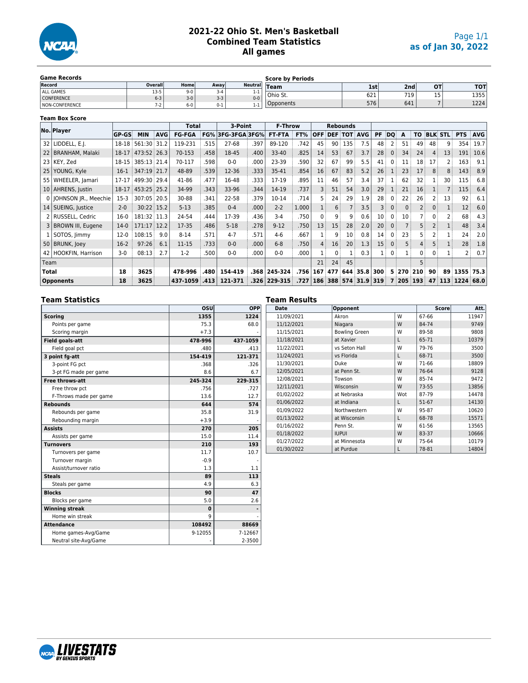

**Team Box Score**

# **2021-22 Ohio St. Men's Basketball Combined Team Statistics All games**

| <b>Game Records</b> |         |         |         |          | <b>Score by Periods</b> |     |                  |           |            |
|---------------------|---------|---------|---------|----------|-------------------------|-----|------------------|-----------|------------|
| Record              | Overall | Home    | Away    | Neutrall | $T$ eam                 | 1st | 2nd <sub>l</sub> | <b>OT</b> | <b>TOT</b> |
| <b>ALL GAMES</b>    | $13-5$  | $9 - 0$ | 3-4     |          |                         |     |                  | $\sim$    |            |
| <b>CONFERENCE</b>   | $6 - 3$ | $3-0$   | $3-3$   | $0 - 0$  | ' Ohio St.              | 621 | 719              | כב        | 1355       |
| NON-CONFERENCE      | $7-2$   | $6-0$   | $0 - 1$ | . .      | Opponents               | 576 | 641              |           | 1224       |

|              |                          |           |             |            | <b>Total</b>  |      | 3-Point           |      | <b>F-Throw</b> |       |            |                 | <b>Rebounds</b>    |                  |     |    |          |     |              |                |            |            |
|--------------|--------------------------|-----------|-------------|------------|---------------|------|-------------------|------|----------------|-------|------------|-----------------|--------------------|------------------|-----|----|----------|-----|--------------|----------------|------------|------------|
|              | No. Player               | GP-GS     | <b>MIN</b>  | <b>AVG</b> | <b>FG-FGA</b> |      | FG% 3FG-3FGA 3FG% |      | <b>FT-FTA</b>  | FT%   | <b>OFF</b> |                 | <b>DEF TOT AVG</b> |                  | PF  | DQ | A        | ΤO  |              | <b>BLK STL</b> | <b>PTS</b> | <b>AVG</b> |
|              | 32   LIDDELL, E.J.       | 18-18     | 561:30      | 31.2       | 119-231       | 515  | $27 - 68$         | .397 | 89-120         | .742  | 45         | 90              | 135                | 7.5              | 48  | 2  | 51       | 49  | 48           | 9              | 354        | 19.7       |
|              | 22   BRANHAM, Malaki     | 18-17     | 473:52 26.3 |            | 70-153        | 458  | 18-45             | .400 | $33-40$        | .825  | 14         | 53              | 67                 | 3.7              | 28  | 0  | 34       | 24  | 4            | 13             | 191        | 10.6       |
|              | 23   KEY, Zed            | 18-15     | 385:13      | 21.4       | 70-117        | 598  | $0-0$             | .000 | 23-39          | .590  | 32         | 67              | 99                 | 5.5              | 41  | 0  | 11       | 18  | 17           | 2              | 163        | 9.1        |
|              | 25 YOUNG, Kyle           | $16-1$    | 347:19      | 21.7       | 48-89         | 539  | $12 - 36$         | .333 | 35-41          | .854  | 16         | 67              | 83                 | 5.2              | 26  |    | 23       | 17  | 8            | 8              | 143        | 8.9        |
|              | 55   WHEELER, Jamari     | $17 - 17$ | 499:30      | 29.4       | 41-86         | .477 | 16-48             | .333 | 17-19          | .895  | 11         | 46              | 57                 | 3.4              | 37  |    | 62       | 32  |              | 30             | 115        | 6.8        |
|              | 10   AHRENS, Justin      | 18-17     | 453:25      | 25.2       | 34-99         | .343 | 33-96             | .344 | 14-19          | .737  | 3          | 51              | 54                 | 3.0              | 29  |    | 21       | 16  |              | $\overline{7}$ | 115        | 6.4        |
|              | 0   JOHNSON JR., Meechie | $15-3$    | 307:05      | 20.5       | 30-88         | 341  | 22-58             | .379 | 10-14          | .714  | 5          | 24              | 29                 | 1.9              | 28  | 0  | 22       | 26  |              | 13             | 92         | 6.1        |
|              | 14   SUEING, Justice     | $2 - 0$   | 30:22 15.2  |            | $5 - 13$      | 385  | $0 - 4$           | .000 | $2 - 2$        | 1.000 |            | 6               |                    | 3.5              | 3   | 0  | $\Omega$ |     | 0            |                | 12         | 6.0        |
|              | 2 RUSSELL, Cedric        | $16-0$    | 181:32 11.3 |            | 24-54         | 444  | 17-39             | .436 | $3-4$          | .750  | 0          | 9               | q                  | 0.6              | 10  | 0  | 10       |     |              | 2              | 68         | 4.3        |
|              | 3   BROWN III, Eugene    | $14-0$    | 171:17      | 12.2       | 17-35         | .486 | $5 - 18$          | .278 | $9 - 12$       | .750  | 13         | 15              | 28                 | 2.0              | 20  | 0  |          | 5 ! | $\mathsf{2}$ |                | 48         | 3.4        |
|              | 1   SOTOS, Jimmy         | $12-0$    | 108:15      | 9.0        | $8 - 14$      | 571  | $4 - 7$           | .571 | $4 - 6$        | .667  |            | 9               | 10                 | 0.8              | 14  | 0  | 23       |     |              |                | 24         | 2.0        |
|              | 50 BRUNK, Joey           | $16-2$    | 97:26       | 6.1        | $11 - 15$     | .733 | $0-0$             | .000 | $6 - 8$        | .750  | 4          | 16 <sup>1</sup> | 20                 | 1.3              | 15  | 0  | 5        |     | 5            |                | 28         | 1.8        |
|              | 42   HOOKFIN, Harrison   | $3-0$     | 08:13       | 2.7        | $1-2$         | 500  | $0-0$             | .000 | $0 - 0$        | .000  |            | 0               |                    | 0.3              |     | 0  |          | 0   | 0            |                | 2          | 0.7        |
| Team         |                          |           |             |            |               |      |                   |      |                |       | 21         | 24              | 45                 |                  |     |    |          | 5   |              |                |            |            |
| <b>Total</b> |                          | 18        | 3625        |            | 478-996       | .480 | 154-419           |      | .368 245-324   | .756  | 167        | 477             |                    | 644 35.8         | 300 | 5. | 270      | 210 | 90           | 89             | 1355       | 75.3       |
|              | <b>Opponents</b>         | 18        | 3625        |            | 437-1059      | .413 | 121-371           |      | .326 229-315   | .727  | 186        |                 |                    | 388 574 31.9 319 |     | 7  | 205      | 193 | 47           | 113            | 1224       | 68.0       |

### **Team Statistics**

|                        | OSU      | OPP      |
|------------------------|----------|----------|
| <b>Scoring</b>         | 1355     | 1224     |
| Points per game        | 75.3     | 68.0     |
| Scoring margin         | $+7.3$   |          |
| <b>Field goals-att</b> | 478-996  | 437-1059 |
| Field goal pct         | .480     | .413     |
| 3 point fg-att         | 154-419  | 121-371  |
| 3-point FG pct         | .368     | .326     |
| 3-pt FG made per game  | 8.6      | 6.7      |
| <b>Free throws-att</b> | 245-324  | 229-315  |
| Free throw pct         | .756     | .727     |
| F-Throws made per game | 13.6     | 12.7     |
| <b>Rebounds</b>        | 644      | 574      |
| Rebounds per game      | 35.8     | 31.9     |
| Rebounding margin      | $+3.9$   |          |
| <b>Assists</b>         | 270      | 205      |
| Assists per game       | 15.0     | 11.4     |
| <b>Turnovers</b>       | 210      | 193      |
| Turnovers per game     | 11.7     | 10.7     |
| Turnover margin        | $-0.9$   |          |
| Assist/turnover ratio  | 1.3      | 1.1      |
| <b>Steals</b>          | 89       | 113      |
| Steals per game        | 4.9      | 6.3      |
| <b>Blocks</b>          | 90       | 47       |
| Blocks per game        | 5.0      | 2.6      |
| <b>Winning streak</b>  | $\bf{0}$ |          |
| Home win streak        | q        |          |
| <b>Attendance</b>      | 108492   | 88669    |
| Home games-Avg/Game    | 9-12055  | 7-12667  |
| Neutral site-Avg/Game  |          | 2-3500   |

#### **Team Results Date Opponent Score Att.** 11/09/2021 | Akron | W | 67-66 | 11947 11/12/2021 | Niagara | W 84-74 | 9749 11/15/2021 | Bowling Green | W | 89-58 | 9808 11/18/2021 at Xavier L 65-71 10379 11/22/2021 vs Seton Hall W 79-76 3500<br>11/24/2021 vs Florida L 68-71 3500 11/24/2021 11/30/2021 Duke W 71-66 18809 12/05/2021 at Penn St. W 76-64 9128<br>12/08/2021 Towson W 85-74 9472 12/08/2021 Towson 12/11/2021 Wisconsin W 73-55 13856<br>01/02/2022 at Nebraska Wot 87-79 14478 at Nebraska 01/06/2022 at Indiana L 51-67 14130 01/09/2022 Northwestern W 95-87 10620<br>01/13/2022 at Wisconsin L 68-78 15571 01/13/2022 at Wisconsin L 68-78 15571 01/16/2022 Penn St. W 61-56 13565<br>01/18/2022 IUPUI W 83-37 10666 01/18/2022 01/27/2022 at Minnesota W 75-64 10179 01/30/2022 at Purdue L 78-81 14804

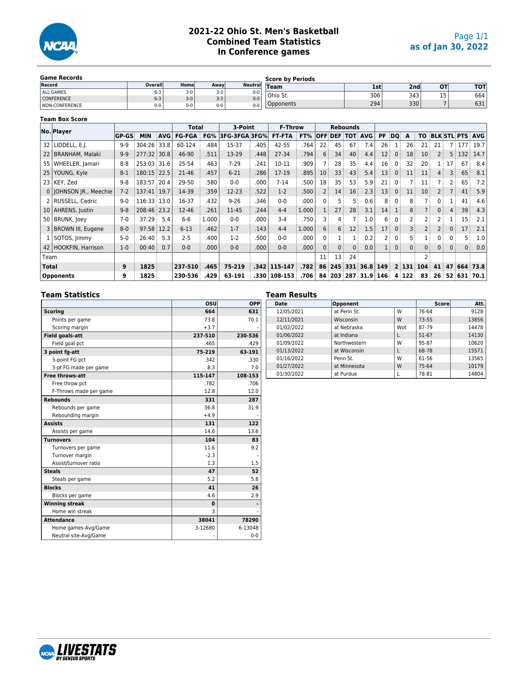

# **2021-22 Ohio St. Men's Basketball Combined Team Statistics In Conference games**

| <b>Game Records</b>   |         |         |       |                | <b>Score by Periods</b> |     |     |           |     |
|-----------------------|---------|---------|-------|----------------|-------------------------|-----|-----|-----------|-----|
| Record                | Overall | Home    | Away  | <b>Neutral</b> | <b>Team</b>             | 1st | 2nd | <b>OT</b> | тот |
| <b>ALL GAMES</b>      | b-3     | $3-0$   | $3-3$ | $0 - 0$        |                         |     |     |           |     |
| <b>CONFERENCE</b>     | $6 - 3$ | $3-0$   | $3-3$ | $0-0$          | Ohio St.                | 306 | 343 | 15        | 664 |
| <b>NON-CONFERENCE</b> | $0-0$   | $0 - 0$ | $0-0$ | $0 - 0$        | Opponents               | 294 | 330 |           | 631 |

### **Team Box Score**

| No. Player                  |              |             |            | Total                                                                                                       |       | 3-Point            |      | <b>F-Throw</b> |         |                |    | <b>Rebounds</b> |                                                                                 |            |              |                 |                 |                |          |       |                               |
|-----------------------------|--------------|-------------|------------|-------------------------------------------------------------------------------------------------------------|-------|--------------------|------|----------------|---------|----------------|----|-----------------|---------------------------------------------------------------------------------|------------|--------------|-----------------|-----------------|----------------|----------|-------|-------------------------------|
|                             | <b>GP-GS</b> | <b>MIN</b>  | <b>AVG</b> | <b>FG-FGA</b>                                                                                               | FG%   | 3FG-3FGA3FG%       |      | <b>FT-FTA</b>  | FT%     |                |    |                 | <b>OFF DEF TOT AVG</b>                                                          | PF         | <b>DO</b>    | A               | TO.             |                |          |       | <b>BLK STL PTS AVG</b>        |
| 32   LIDDELL, E.J.          | $9-9$        | 304:26      | 33.8       | 60-124                                                                                                      | .484  | 15-37              | .405 | 42-55          | .764    | 22             | 45 | 67              | 7.4                                                                             | 26         |              | 26 <sup>3</sup> | 21              | 21             |          | 7 177 | 19.7                          |
| 22   BRANHAM, Malaki        | $9 - 9$      | 277:32 30.8 |            | 46-90                                                                                                       | .511  | 13-29              | .448 | 27-34          | .794    | 6              | 34 | 40              | 4.4                                                                             | 12         | $\mathbf{0}$ | 18 <sup>3</sup> | 10              | $\overline{2}$ | 5        | 132   | 14.7                          |
| WHEELER, Jamari             | $8 - 8$      | 253:03      | 31.6       | 25-54                                                                                                       | .463  | $7 - 29$           | .241 | 10-11          | .909    |                | 28 | 35              | 4.4                                                                             | 16         | 0            | 32              | 20              |                | 17       | 67    | 8.4                           |
| YOUNG, Kyle                 | $8 - 1$      |             |            | $21 - 46$                                                                                                   | .457  | $6 - 21$           | .286 | 17-19          | .895    | 10             | 33 | 43              | 5.4                                                                             | 13         | $\mathbf{0}$ | 11              | 11              | 4              | 3        | 65    | 8.1                           |
| 23   KEY, Zed               | $9 - 8$      |             |            | 29-50                                                                                                       | .580  | $0-0$              | .000 | $7 - 14$       | .500    | 18             | 35 | 53              | 5.9                                                                             | 21         | $\mathbf{0}$ |                 | 11              |                |          | 65    | 7.2                           |
| 0   JOHNSON JR., Meechie    | $7 - 2$      |             |            | 14-39                                                                                                       | .359  | 12-23              | .522 | $1-2$          | .500    | $\overline{2}$ |    | 16              | 2.3                                                                             | 13         | $\Omega$     | 11              | 10              |                |          | 41    | 5.9                           |
| 2   RUSSELL, Cedric         | $9 - 0$      |             |            | 16-37                                                                                                       | .432  | $9 - 26$           | .346 | $0 - 0$        | .000    | 0              | 5. | 5               | 0.6                                                                             | 8          | $\mathbf{0}$ | 8               |                 | $\Omega$       |          | 41    | 4.6                           |
| 10   AHRENS, Justin         | $9 - 8$      |             |            | $12 - 46$                                                                                                   | .261  | 11-45              | .244 | $4 - 4$        | 1.000   | $\mathbf{1}$   | 27 | 28              | 3.1                                                                             | 14         |              | 8               |                 | $\mathbf{0}$   |          | 39    | 4.3                           |
| 50 BRUNK, Joey              | $7 - 0$      |             | 5.4        | $6-6$                                                                                                       | 1.000 | $0-0$              | .000 | $3 - 4$        | .750    |                |    |                 | 1.0                                                                             | 6          | 0            | 2               | 2               |                |          | 15    | 2.1                           |
| 3   BROWN III, Eugene       | $8 - 0$      |             | 12.2       | $6 - 13$                                                                                                    | .462  | $1 - 7$            | .143 | $4 - 4$        | 1.000   | 6              |    | 12              | 1.5                                                                             | 17         | $\mathbf{0}$ | 3               | $\overline{2}$  |                | $\Omega$ | 17    | 2.1                           |
| $1$ SOTOS, $\lim_{x \to 0}$ | $5 - 0$      |             | 5.3        | $2 - 5$                                                                                                     | .400  | $1-2$              | .500 | $0 - 0$        | .000    | 0              |    |                 | 0.2                                                                             |            | $\Omega$     | 5.5             |                 | 0              |          | 5     | 1.0                           |
| 42   HOOKFIN, Harrison      | $1 - 0$      |             | 0.7        | $0 - 0$                                                                                                     | .000  | $0-0$              | .000 | $0 - 0$        | .000    | $\Omega$       |    |                 | 0.0                                                                             |            | $\mathbf{0}$ | 0 ∶             | $\mathbf{0}$    | $\mathbf{0}$   | $\Omega$ |       | 0.0                           |
|                             |              |             |            |                                                                                                             |       |                    |      |                |         | 11             |    | 24              |                                                                                 |            |              |                 | 2               |                |          |       |                               |
|                             | 9            | 1825        |            |                                                                                                             | .465  | 75-219             | .342 |                | .782    | 86             |    |                 |                                                                                 |            |              |                 |                 | 41             | 47       |       | 664 73.8                      |
| <b>Opponents</b>            | 9            | 1825        |            |                                                                                                             | .429  | 63-191             | .330 |                | .706    |                |    |                 |                                                                                 |            |              |                 | 83              | 26             |          |       |                               |
|                             |              |             |            | 180:15 22.5<br>183:57 20.4<br>137:41 19.7<br>116:33 13.0<br>208:46 23.2<br>37:29<br>97:58<br>26:40<br>00:40 |       | 237-510<br>230-536 |      |                | 115-147 | 108-153        |    | 3<br>84         | 14 <sup>3</sup><br>4<br>6<br>$\mathbf{0}$<br>0<br>13 <sup>3</sup><br>245<br>203 | 331<br>287 | $36.8$   149 | $31.9$ 146      | 2 131 <br>4 122 | 104            |          |       | 0 <sup>1</sup><br>52 631 70.1 |

### **Team Statistics**

|                        | osu      | <b>OPP</b> |
|------------------------|----------|------------|
| <b>Scoring</b>         | 664      | 631        |
| Points per game        | 73.8     | 70.1       |
| Scoring margin         | $+3.7$   |            |
| <b>Field goals-att</b> | 237-510  | 230-536    |
| Field goal pct         | .465     | .429       |
| 3 point fg-att         | 75-219   | 63-191     |
| 3-point FG pct         | .342     | .330       |
| 3-pt FG made per game  | 8.3      | 7.0        |
| <b>Free throws-att</b> | 115-147  | 108-153    |
| Free throw pct         | .782     | .706       |
| F-Throws made per game | 12.8     | 12.0       |
| <b>Rebounds</b>        | 331      | 287        |
| Rebounds per game      | 36.8     | 31.9       |
| Rebounding margin      | $+4.9$   |            |
| <b>Assists</b>         | 131      | 122        |
| Assists per game       | 14.6     | 13.6       |
| <b>Turnovers</b>       | 104      | 83         |
| Turnovers per game     | 11.6     | 9.2        |
| Turnover margin        | $-2.3$   |            |
| Assist/turnover ratio  | 1.3      | 1.5        |
| <b>Steals</b>          | 47       | 52         |
| Steals per game        | 5.2      | 5.8        |
| <b>Blocks</b>          | 41       | 26         |
| Blocks per game        | 4.6      | 2.9        |
| <b>Winning streak</b>  | $\bf{0}$ |            |
| Home win streak        | 3        |            |
| <b>Attendance</b>      | 38041    | 78290      |
| Home games-Avg/Game    | 3-12680  | 6-13048    |
| Neutral site-Avg/Game  |          | $0 - 0$    |

#### **Team Results Deponent Score Att.** 12/05/2021 at Penn St. W 76-64 9128<br>12/11/2021 Wisconsin W 73-55 13856 12/11/2021 01/02/2022 at Nebraska Wot 87-79 14478 01/06/2022 at Indiana L 51-67 14130 01/09/2022 **Northwestern** W 95-87 10620 01/13/2022 at Wisconsin L 68-78 15571<br>01/16/2022 Penn St. W 61-56 13565 01/16/2022 Penn St. W 61-56 13565 01/27/2022 at Minnesota W 75-64 10179<br>01/30/2022 at Purdue L 78-81 14804  $01/30/2022$

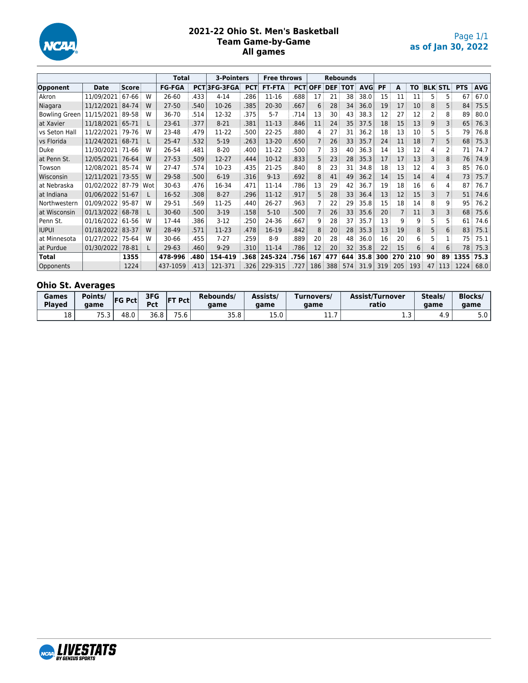

# **2021-22 Ohio St. Men's Basketball Team Game-by-Game All games**

|                      |                  |       |     | <b>Total</b>  |      | <b>3-Pointers</b> |            | <b>Free throws</b> |            |            |            | <b>Rebounds</b> |            |     |     |     |    |                |            |            |
|----------------------|------------------|-------|-----|---------------|------|-------------------|------------|--------------------|------------|------------|------------|-----------------|------------|-----|-----|-----|----|----------------|------------|------------|
| Opponent             | <b>Date</b>      | Score |     | <b>FG-FGA</b> |      | PCT3FG-3FGA       | <b>PCT</b> | <b>FT-FTA</b>      | <b>PCT</b> | <b>OFF</b> | <b>DEF</b> | TOT             | <b>AVG</b> | PF  | A   | то  |    | <b>BLK STL</b> | <b>PTS</b> | <b>AVG</b> |
| Akron                | 11/09/2021       | 67-66 | W   | 26-60         | .433 | $4 - 14$          | .286       | 11-16              | .688       | 17         | 21         | 38              | 38.0       | 15  | 11  | 11  | 5  | 5              | 67         | 67.0       |
| Niagara              | 11/12/2021       | 84-74 | W   | $27 - 50$     | .540 | $10-26$           | .385       | $20 - 30$          | .667       | 6          | 28         | 34              | 36.0       | 19  | 17  | 10  | 8  | 5              | 84         | 75.5       |
| <b>Bowling Green</b> | 11/15/2021       | 89-58 | W   | 36-70         | .514 | 12-32             | .375       | $5 - 7$            | .714       | 13         | 30         | 43              | 38.3       | 12  | 27  | 12  | 2  | 8              | 89         | 80.0       |
| at Xavier            | 11/18/2021       | 65-71 |     | 23-61         | .377 | $8-21$            | .381       | $11 - 13$          | .846       | 11         | 24         | 35              | 37.5       | 18  | 15  | 13  | 9  |                | 65         | 76.3       |
| vs Seton Hall        | 11/22/2021       | 79-76 | W   | 23-48         | .479 | 11-22             | .500       | $22 - 25$          | .880       | 4          | 27         | 31              | 36.2       | 18  | 13  | 10  | 5  | 5              | 79         | 76.8       |
| vs Florida           | 11/24/2021 68-71 |       |     | 25-47         | .532 | $5-19$            | .263       | 13-20              | .650       |            | 26         | 33              | 35.7       | 24  | 11  | 18  |    | 5              | 68         | 75.3       |
| Duke                 | 11/30/2021 71-66 |       | W   | 26-54         | .481 | $8 - 20$          | .400       | 11-22              | .500       |            | 33         | 40              | 36.3       | 14  | 13  | 12  | 4  |                | 71         | 74.7       |
| at Penn St.          | 12/05/2021 76-64 |       | W   | $27 - 53$     | .509 | 12-27             | .444       | $10-12$            | .833       | 5          | 23         | 28              | 35.3       | 17  | 17  | 13  | 3  | 8              | 76         | 74.9       |
| Towson               | 12/08/2021 85-74 |       | w   | $27 - 47$     | .574 | $10-23$           | .435       | $21 - 25$          | .840       | 8          | 23         | 31              | 34.8       | 18  | 13  | 12  | 4  |                | 85         | 76.0       |
| Wisconsin            | 12/11/2021 73-55 |       | W   | 29-58         | .500 | $6 - 19$          | .316       | $9 - 13$           | .692       | 8          | 41         | 49              | 36.2       | 14  | 15  | 14  | 4  | 4              | 73         | 75.7       |
| at Nebraska          | 01/02/2022 87-79 |       | Wot | $30 - 63$     | .476 | 16-34             | .471       | 11-14              | .786       | 13         | 29         | 42              | 36.7       | 19  | 18  | 16  | 6  | 4              | 87         | 76.7       |
| at Indiana           | 01/06/2022 51-67 |       | L   | 16-52         | .308 | $8 - 27$          | .296       | 11-12              | .917       | 5          | 28         | 33              | 36.4       | 13  | 12  | 15  | 3  |                | 51         | 74.6       |
| Northwestern         | 01/09/2022 95-87 |       | W   | 29-51         | .569 | 11-25             | .440       | 26-27              | .963       |            | 22         | 29              | 35.8       | 15  | 18  | 14  | 8  | 9              | 95         | 76.2       |
| at Wisconsin         | 01/13/2022 68-78 |       |     | $30 - 60$     | .500 | $3-19$            | .158       | $5 - 10$           | 500        |            | 26         | 33              | 35.6       | 20  |     | 11  | 3  |                | 68         | 75.6       |
| Penn St.             | 01/16/2022       | 61-56 | W   | 17-44         | .386 | $3-12$            | .250       | 24-36              | .667       | 9          | 28         | 37              | 35.7       | 13  | 9   | 9   | 5  |                | 61         | 74.6       |
| <b>IUPUI</b>         | 01/18/2022 83-37 |       | W   | 28-49         | .571 | 11-23             | .478       | 16-19              | .842       | 8          | 20         | 28              | 35.3       | 13  | 19  | 8   | 5  | 6              | 83         | 75.1       |
| at Minnesota         | 01/27/2022 75-64 |       | w   | 30-66         | .455 | $7-27$            | .259       | $8-9$              | .889       | 20         | 28         | 48              | 36.0       | 16  | 20  | 6   | 5  |                | 75         | 75.1       |
| at Purdue            | 01/30/2022       | 78-81 |     | $29-63$       | .460 | $9 - 29$          | .310       | 11-14              | .786       | 12         | 20         | 32              | 35.8       | 22  | 15  | 6   | 4  | 6              | 78         | 75.3       |
| Total                |                  | 1355  |     | 478-996       | .480 | 154-419           | .368       | 245-324            | .756       | 167        | 477        | 644             | 35.8       | 300 | 270 | 210 | 90 | 89             | 1355       | 75.3       |
| Opponents            |                  | 1224  |     | 437-1059      | .413 | 121-371           | .326       | 229-315            | .727       | 186        | 388        | 574             | 31.9       | 319 | 205 | 193 | 47 | : 113          | 1224       | 68.0       |

# **Ohio St. Averages**

| Games<br><b>Played</b> | Points/<br>aame | <b>FG Pct</b> | 3FG<br>Pct | <b>FT Pct</b> | Rebounds/<br>aame | Assists/<br>aame | Turnovers/<br>aame | <b>Assist/Turnover</b><br>ratio | Steals/<br>aame | <b>Blocks</b><br>game |
|------------------------|-----------------|---------------|------------|---------------|-------------------|------------------|--------------------|---------------------------------|-----------------|-----------------------|
| 18                     | 75<br>د.כ       | ∟.48          | 36.8       | 75.6          | 35.8              | 2.5.0<br>U.CL    | <b></b>            | <b></b>                         | т. .            | 5.0                   |